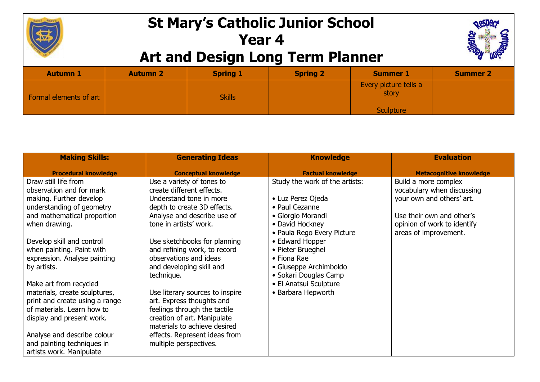

## **St Mary's Catholic Junior School Year 4 Art and Design Long Term Planner**



|                        |                 | __              |                 |                                |                 |
|------------------------|-----------------|-----------------|-----------------|--------------------------------|-----------------|
| <b>Autumn 1</b>        | <b>Autumn 2</b> | <b>Spring 1</b> | <b>Spring 2</b> | <b>Summer 1</b>                | <b>Summer 2</b> |
| Formal elements of art |                 | <b>Skills</b>   |                 | Every picture tells a<br>story |                 |
|                        |                 |                 |                 | <b>Sculpture</b>               |                 |
|                        |                 |                 |                 |                                |                 |

| <b>Making Skills:</b>          | <b>Generating Ideas</b>         | <b>Knowledge</b>               | <b>Evaluation</b>              |
|--------------------------------|---------------------------------|--------------------------------|--------------------------------|
| <b>Procedural knowledge</b>    | <b>Conceptual knowledge</b>     | <b>Factual knowledge</b>       | <b>Metacognitive knowledge</b> |
| Draw still life from           | Use a variety of tones to       | Study the work of the artists: | Build a more complex           |
| observation and for mark       | create different effects.       |                                | vocabulary when discussing     |
| making. Further develop        | Understand tone in more         | • Luz Perez Ojeda              | your own and others' art.      |
| understanding of geometry      | depth to create 3D effects.     | • Paul Cezanne                 |                                |
| and mathematical proportion    | Analyse and describe use of     | • Giorgio Morandi              | Use their own and other's      |
| when drawing.                  | tone in artists' work.          | • David Hockney                | opinion of work to identify    |
|                                |                                 | · Paula Rego Every Picture     | areas of improvement.          |
| Develop skill and control      | Use sketchbooks for planning    | • Edward Hopper                |                                |
| when painting. Paint with      | and refining work, to record    | • Pieter Brueghel              |                                |
| expression. Analyse painting   | observations and ideas          | • Fiona Rae                    |                                |
| by artists.                    | and developing skill and        | • Giuseppe Archimboldo         |                                |
|                                | technique.                      | • Sokari Douglas Camp          |                                |
| Make art from recycled         |                                 | • El Anatsui Sculpture         |                                |
| materials, create sculptures,  | Use literary sources to inspire | • Barbara Hepworth             |                                |
| print and create using a range | art. Express thoughts and       |                                |                                |
| of materials. Learn how to     | feelings through the tactile    |                                |                                |
| display and present work.      | creation of art. Manipulate     |                                |                                |
|                                | materials to achieve desired    |                                |                                |
| Analyse and describe colour    | effects. Represent ideas from   |                                |                                |
| and painting techniques in     | multiple perspectives.          |                                |                                |
| artists work. Manipulate       |                                 |                                |                                |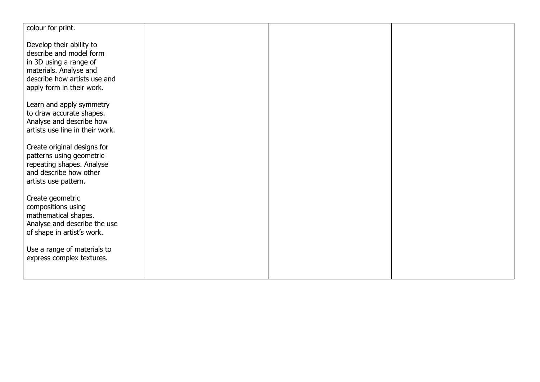| colour for print.               |  |  |
|---------------------------------|--|--|
|                                 |  |  |
|                                 |  |  |
| Develop their ability to        |  |  |
| describe and model form         |  |  |
| in 3D using a range of          |  |  |
| materials. Analyse and          |  |  |
| describe how artists use and    |  |  |
| apply form in their work.       |  |  |
|                                 |  |  |
| Learn and apply symmetry        |  |  |
| to draw accurate shapes.        |  |  |
| Analyse and describe how        |  |  |
| artists use line in their work. |  |  |
|                                 |  |  |
| Create original designs for     |  |  |
| patterns using geometric        |  |  |
| repeating shapes. Analyse       |  |  |
| and describe how other          |  |  |
| artists use pattern.            |  |  |
| Create geometric                |  |  |
| compositions using              |  |  |
| mathematical shapes.            |  |  |
| Analyse and describe the use    |  |  |
| of shape in artist's work.      |  |  |
|                                 |  |  |
| Use a range of materials to     |  |  |
| express complex textures.       |  |  |
|                                 |  |  |
|                                 |  |  |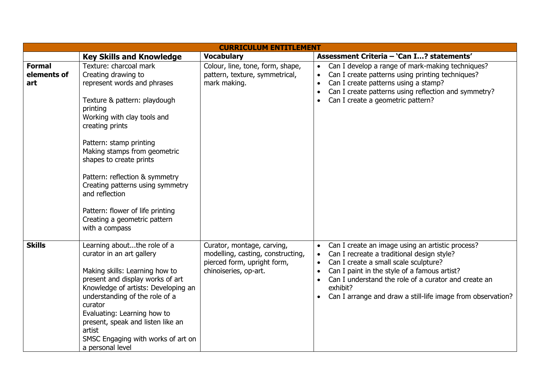| <b>CURRICULUM ENTITLEMENT</b>       |                                                                                                                                                                                                                                                                                                                                                                                                                                                |                                                                                                                         |                                                                                                                                                                                                                                                                                                                                                                                             |  |
|-------------------------------------|------------------------------------------------------------------------------------------------------------------------------------------------------------------------------------------------------------------------------------------------------------------------------------------------------------------------------------------------------------------------------------------------------------------------------------------------|-------------------------------------------------------------------------------------------------------------------------|---------------------------------------------------------------------------------------------------------------------------------------------------------------------------------------------------------------------------------------------------------------------------------------------------------------------------------------------------------------------------------------------|--|
|                                     | <b>Key Skills and Knowledge</b>                                                                                                                                                                                                                                                                                                                                                                                                                | <b>Vocabulary</b>                                                                                                       | Assessment Criteria - 'Can I? statements'                                                                                                                                                                                                                                                                                                                                                   |  |
| <b>Formal</b><br>elements of<br>art | Texture: charcoal mark<br>Creating drawing to<br>represent words and phrases<br>Texture & pattern: playdough<br>printing<br>Working with clay tools and<br>creating prints<br>Pattern: stamp printing<br>Making stamps from geometric<br>shapes to create prints<br>Pattern: reflection & symmetry<br>Creating patterns using symmetry<br>and reflection<br>Pattern: flower of life printing<br>Creating a geometric pattern<br>with a compass | Colour, line, tone, form, shape,<br>pattern, texture, symmetrical,<br>mark making.                                      | Can I develop a range of mark-making techniques?<br>Can I create patterns using printing techniques?<br>Can I create patterns using a stamp?<br>$\bullet$<br>Can I create patterns using reflection and symmetry?<br>$\bullet$<br>Can I create a geometric pattern?<br>$\bullet$                                                                                                            |  |
| <b>Skills</b>                       | Learning aboutthe role of a<br>curator in an art gallery<br>Making skills: Learning how to<br>present and display works of art<br>Knowledge of artists: Developing an<br>understanding of the role of a<br>curator<br>Evaluating: Learning how to<br>present, speak and listen like an<br>artist<br>SMSC Engaging with works of art on<br>a personal level                                                                                     | Curator, montage, carving,<br>modelling, casting, constructing,<br>pierced form, upright form,<br>chinoiseries, op-art. | Can I create an image using an artistic process?<br>$\bullet$<br>Can I recreate a traditional design style?<br>$\bullet$<br>Can I create a small scale sculpture?<br>$\bullet$<br>Can I paint in the style of a famous artist?<br>$\bullet$<br>Can I understand the role of a curator and create an<br>$\bullet$<br>exhibit?<br>Can I arrange and draw a still-life image from observation? |  |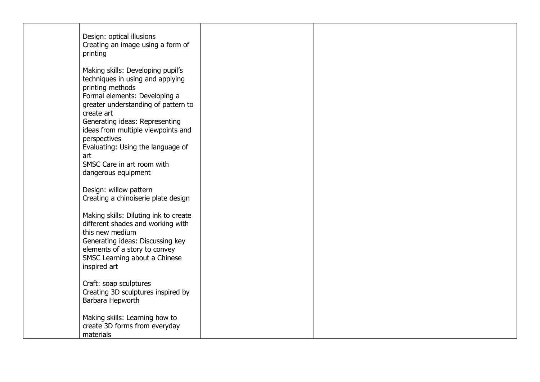| Design: optical illusions<br>Creating an image using a form of<br>printing                                                                                                                                                                                                                                                                        |  |  |
|---------------------------------------------------------------------------------------------------------------------------------------------------------------------------------------------------------------------------------------------------------------------------------------------------------------------------------------------------|--|--|
| Making skills: Developing pupil's<br>techniques in using and applying<br>printing methods<br>Formal elements: Developing a<br>greater understanding of pattern to<br>create art<br>Generating ideas: Representing<br>ideas from multiple viewpoints and<br>perspectives<br>Evaluating: Using the language of<br>art<br>SMSC Care in art room with |  |  |
| dangerous equipment<br>Design: willow pattern                                                                                                                                                                                                                                                                                                     |  |  |
| Creating a chinoiserie plate design<br>Making skills: Diluting ink to create<br>different shades and working with<br>this new medium<br>Generating ideas: Discussing key<br>elements of a story to convey<br>SMSC Learning about a Chinese<br>inspired art                                                                                        |  |  |
| Craft: soap sculptures<br>Creating 3D sculptures inspired by<br>Barbara Hepworth                                                                                                                                                                                                                                                                  |  |  |
| Making skills: Learning how to<br>create 3D forms from everyday<br>materials                                                                                                                                                                                                                                                                      |  |  |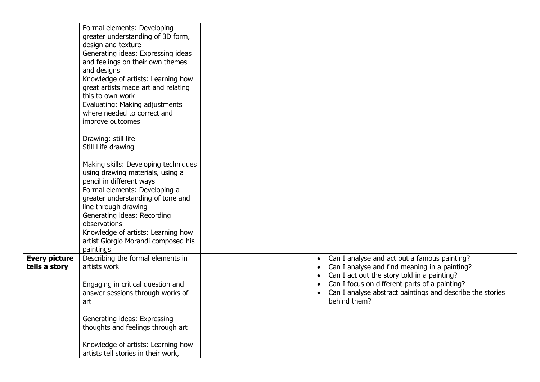|                                       | Formal elements: Developing<br>greater understanding of 3D form,<br>design and texture<br>Generating ideas: Expressing ideas<br>and feelings on their own themes<br>and designs<br>Knowledge of artists: Learning how<br>great artists made art and relating<br>this to own work<br>Evaluating: Making adjustments<br>where needed to correct and |                                                                                                                                                                                                                                                                                                                                             |
|---------------------------------------|---------------------------------------------------------------------------------------------------------------------------------------------------------------------------------------------------------------------------------------------------------------------------------------------------------------------------------------------------|---------------------------------------------------------------------------------------------------------------------------------------------------------------------------------------------------------------------------------------------------------------------------------------------------------------------------------------------|
|                                       | improve outcomes<br>Drawing: still life<br>Still Life drawing                                                                                                                                                                                                                                                                                     |                                                                                                                                                                                                                                                                                                                                             |
|                                       | Making skills: Developing techniques<br>using drawing materials, using a<br>pencil in different ways<br>Formal elements: Developing a<br>greater understanding of tone and<br>line through drawing<br>Generating ideas: Recording<br>observations<br>Knowledge of artists: Learning how<br>artist Giorgio Morandi composed his<br>paintings       |                                                                                                                                                                                                                                                                                                                                             |
| <b>Every picture</b><br>tells a story | Describing the formal elements in<br>artists work<br>Engaging in critical question and<br>answer sessions through works of<br>art                                                                                                                                                                                                                 | Can I analyse and act out a famous painting?<br>$\bullet$<br>Can I analyse and find meaning in a painting?<br>$\bullet$<br>Can I act out the story told in a painting?<br>$\bullet$<br>Can I focus on different parts of a painting?<br>$\bullet$<br>Can I analyse abstract paintings and describe the stories<br>$\bullet$<br>behind them? |
|                                       | Generating ideas: Expressing<br>thoughts and feelings through art<br>Knowledge of artists: Learning how<br>artists tell stories in their work,                                                                                                                                                                                                    |                                                                                                                                                                                                                                                                                                                                             |